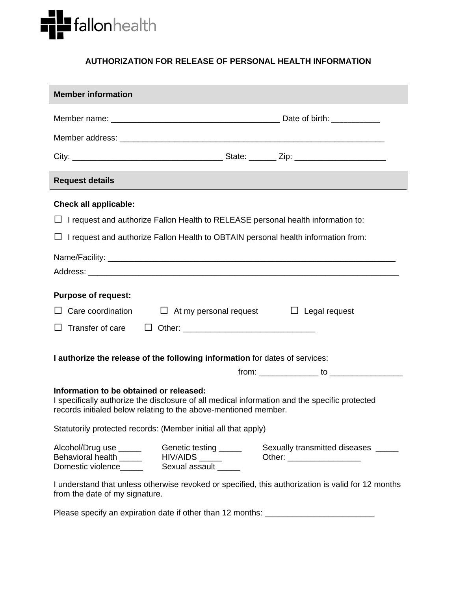

## **AUTHORIZATION FOR RELEASE OF PERSONAL HEALTH INFORMATION**

| <b>Member information</b>                                                                                                                                                                                   |                                              |  |                            |                                     |
|-------------------------------------------------------------------------------------------------------------------------------------------------------------------------------------------------------------|----------------------------------------------|--|----------------------------|-------------------------------------|
|                                                                                                                                                                                                             |                                              |  |                            |                                     |
|                                                                                                                                                                                                             |                                              |  |                            |                                     |
|                                                                                                                                                                                                             |                                              |  |                            |                                     |
| <b>Request details</b>                                                                                                                                                                                      |                                              |  |                            |                                     |
| <b>Check all applicable:</b>                                                                                                                                                                                |                                              |  |                            |                                     |
| $\Box$ I request and authorize Fallon Health to RELEASE personal health information to:                                                                                                                     |                                              |  |                            |                                     |
| $\Box$ I request and authorize Fallon Health to OBTAIN personal health information from:                                                                                                                    |                                              |  |                            |                                     |
|                                                                                                                                                                                                             |                                              |  |                            |                                     |
|                                                                                                                                                                                                             |                                              |  |                            |                                     |
| <b>Purpose of request:</b>                                                                                                                                                                                  |                                              |  |                            |                                     |
| Care coordination<br>$\Box$ At my personal request<br>$\Box$ Legal request                                                                                                                                  |                                              |  |                            |                                     |
| Transfer of care<br>$\mathsf{L}$                                                                                                                                                                            |                                              |  |                            |                                     |
|                                                                                                                                                                                                             |                                              |  |                            |                                     |
| I authorize the release of the following information for dates of services:                                                                                                                                 |                                              |  |                            |                                     |
|                                                                                                                                                                                                             |                                              |  |                            | $from:$ $to$ $to$ $\ldots$          |
| Information to be obtained or released:<br>I specifically authorize the disclosure of all medical information and the specific protected<br>records initialed below relating to the above-mentioned member. |                                              |  |                            |                                     |
| Statutorily protected records: (Member initial all that apply)                                                                                                                                              |                                              |  |                            |                                     |
| Alcohol/Drug use ______<br>Behavioral health ______ HIV/AIDS _____<br>Domestic violence_____                                                                                                                | Genetic testing ______<br>Sexual assault ___ |  | Other: ___________________ | Sexually transmitted diseases _____ |
| I understand that unless otherwise revoked or specified, this authorization is valid for 12 months<br>from the date of my signature.                                                                        |                                              |  |                            |                                     |

Please specify an expiration date if other than 12 months: \_\_\_\_\_\_\_\_\_\_\_\_\_\_\_\_\_\_\_\_\_\_